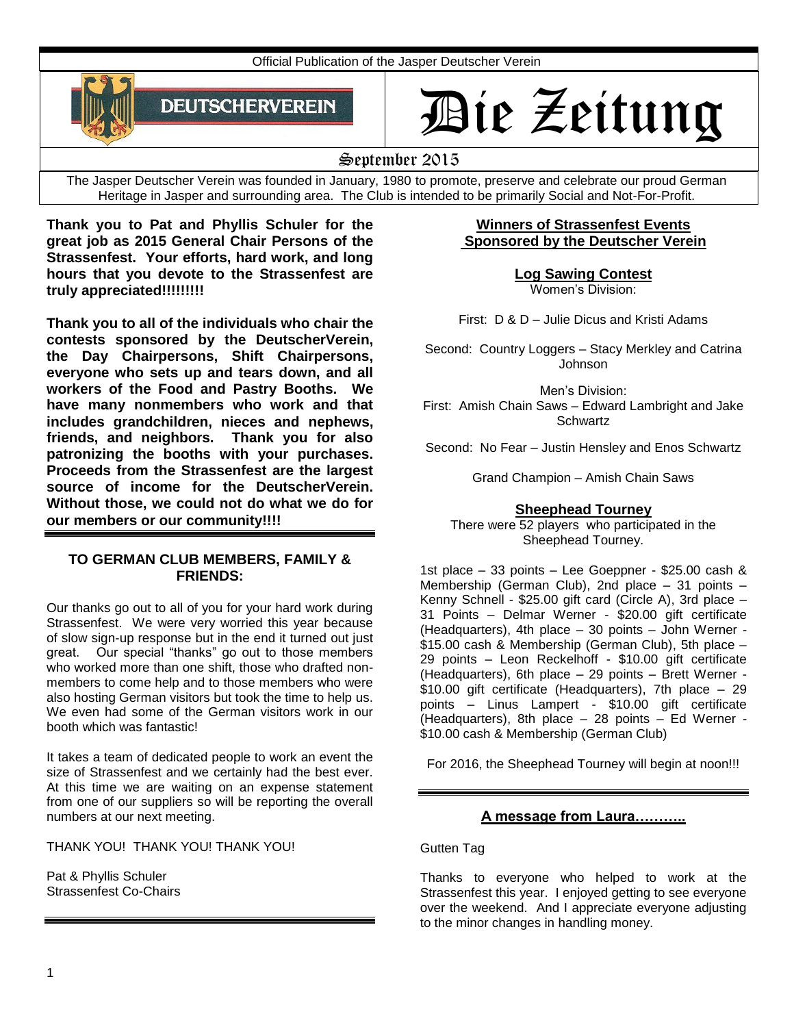Official Publication of the Jasper Deutscher Verein



# Die Zeitung

September 2015

The Jasper Deutscher Verein was founded in January, 1980 to promote, preserve and celebrate our proud German Heritage in Jasper and surrounding area. The Club is intended to be primarily Social and Not-For-Profit.

**Thank you to Pat and Phyllis Schuler for the great job as 2015 General Chair Persons of the Strassenfest. Your efforts, hard work, and long hours that you devote to the Strassenfest are truly appreciated!!!!!!!!!**

**Thank you to all of the individuals who chair the contests sponsored by the DeutscherVerein, the Day Chairpersons, Shift Chairpersons, everyone who sets up and tears down, and all workers of the Food and Pastry Booths. We have many nonmembers who work and that includes grandchildren, nieces and nephews, friends, and neighbors. Thank you for also patronizing the booths with your purchases. Proceeds from the Strassenfest are the largest source of income for the DeutscherVerein. Without those, we could not do what we do for our members or our community!!!!** 

# **TO GERMAN CLUB MEMBERS, FAMILY & FRIENDS:**

Our thanks go out to all of you for your hard work during Strassenfest. We were very worried this year because of slow sign-up response but in the end it turned out just great. Our special "thanks" go out to those members who worked more than one shift, those who drafted nonmembers to come help and to those members who were also hosting German visitors but took the time to help us. We even had some of the German visitors work in our booth which was fantastic!

It takes a team of dedicated people to work an event the size of Strassenfest and we certainly had the best ever. At this time we are waiting on an expense statement from one of our suppliers so will be reporting the overall numbers at our next meeting.

THANK YOU! THANK YOU! THANK YOU!

Pat & Phyllis Schuler Strassenfest Co-Chairs

# **Winners of Strassenfest Events Sponsored by the Deutscher Verein**

**Log Sawing Contest**

Women's Division:

First: D & D – Julie Dicus and Kristi Adams

Second: Country Loggers – Stacy Merkley and Catrina Johnson

Men's Division:

First: Amish Chain Saws – Edward Lambright and Jake **Schwartz** 

Second: No Fear – Justin Hensley and Enos Schwartz

Grand Champion – Amish Chain Saws

# **Sheephead Tourney**

There were 52 players who participated in the Sheephead Tourney.

1st place – 33 points – Lee Goeppner - \$25.00 cash & Membership (German Club), 2nd place – 31 points – Kenny Schnell - \$25.00 gift card (Circle A), 3rd place – 31 Points – Delmar Werner - \$20.00 gift certificate (Headquarters), 4th place – 30 points – John Werner - \$15.00 cash & Membership (German Club), 5th place – 29 points – Leon Reckelhoff - \$10.00 gift certificate (Headquarters), 6th place – 29 points – Brett Werner - \$10.00 gift certificate (Headquarters), 7th place – 29 points – Linus Lampert - \$10.00 gift certificate (Headquarters), 8th place – 28 points – Ed Werner - \$10.00 cash & Membership (German Club)

For 2016, the Sheephead Tourney will begin at noon!!!

# **A message from Laura………..**

Gutten Tag

Thanks to everyone who helped to work at the Strassenfest this year. I enjoyed getting to see everyone over the weekend. And I appreciate everyone adjusting to the minor changes in handling money.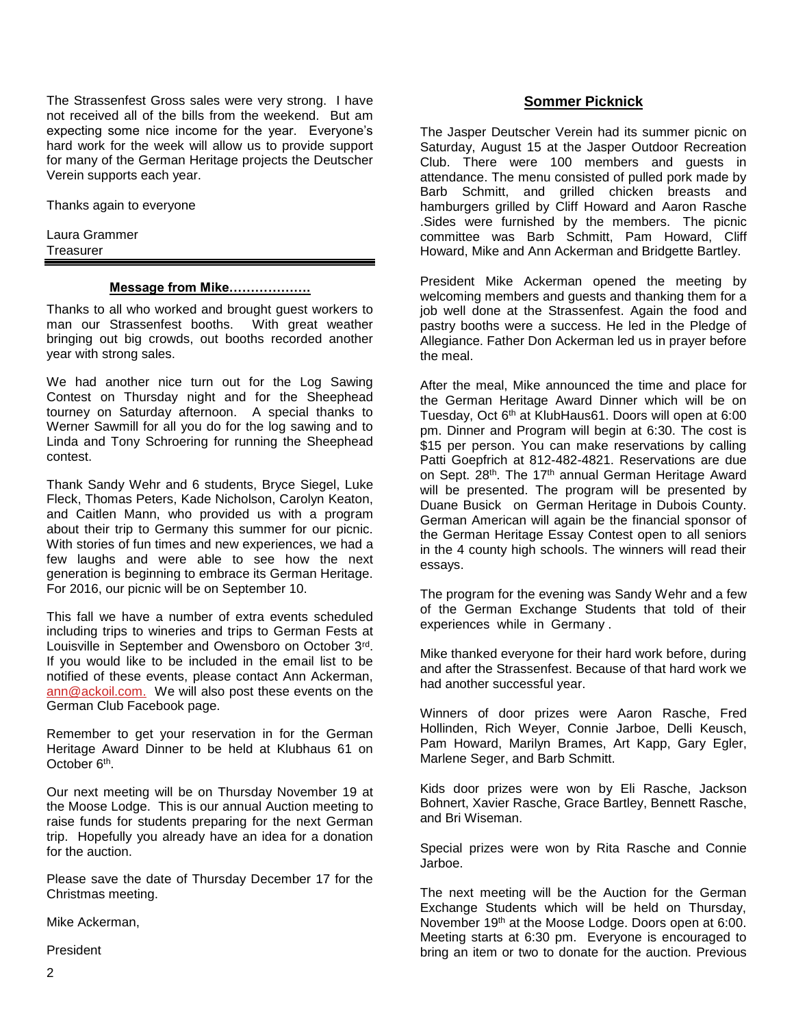The Strassenfest Gross sales were very strong. I have not received all of the bills from the weekend. But am expecting some nice income for the year. Everyone's hard work for the week will allow us to provide support for many of the German Heritage projects the Deutscher Verein supports each year.

Thanks again to everyone

Laura Grammer **Treasurer** 

#### **Message from Mike……………….**

Thanks to all who worked and brought guest workers to man our Strassenfest booths. With great weather bringing out big crowds, out booths recorded another year with strong sales.

We had another nice turn out for the Log Sawing Contest on Thursday night and for the Sheephead tourney on Saturday afternoon. A special thanks to Werner Sawmill for all you do for the log sawing and to Linda and Tony Schroering for running the Sheephead contest.

Thank Sandy Wehr and 6 students, Bryce Siegel, Luke Fleck, Thomas Peters, Kade Nicholson, Carolyn Keaton, and Caitlen Mann, who provided us with a program about their trip to Germany this summer for our picnic. With stories of fun times and new experiences, we had a few laughs and were able to see how the next generation is beginning to embrace its German Heritage. For 2016, our picnic will be on September 10.

This fall we have a number of extra events scheduled including trips to wineries and trips to German Fests at Louisville in September and Owensboro on October 3rd. If you would like to be included in the email list to be notified of these events, please contact Ann Ackerman, [ann@ackoil.com.](mailto:ann@ackoil.com) We will also post these events on the German Club Facebook page.

Remember to get your reservation in for the German Heritage Award Dinner to be held at Klubhaus 61 on October 6<sup>th</sup>.

Our next meeting will be on Thursday November 19 at the Moose Lodge. This is our annual Auction meeting to raise funds for students preparing for the next German trip. Hopefully you already have an idea for a donation for the auction.

Please save the date of Thursday December 17 for the Christmas meeting.

Mike Ackerman,

President

#### **Sommer Picknick**

The Jasper Deutscher Verein had its summer picnic on Saturday, August 15 at the Jasper Outdoor Recreation Club. There were 100 members and guests in attendance. The menu consisted of pulled pork made by Barb Schmitt, and grilled chicken breasts and hamburgers grilled by Cliff Howard and Aaron Rasche .Sides were furnished by the members. The picnic committee was Barb Schmitt, Pam Howard, Cliff Howard, Mike and Ann Ackerman and Bridgette Bartley.

President Mike Ackerman opened the meeting by welcoming members and guests and thanking them for a job well done at the Strassenfest. Again the food and pastry booths were a success. He led in the Pledge of Allegiance. Father Don Ackerman led us in prayer before the meal.

After the meal, Mike announced the time and place for the German Heritage Award Dinner which will be on Tuesday, Oct 6th at KlubHaus61. Doors will open at 6:00 pm. Dinner and Program will begin at 6:30. The cost is \$15 per person. You can make reservations by calling Patti Goepfrich at 812-482-4821. Reservations are due on Sept. 28<sup>th</sup>. The 17<sup>th</sup> annual German Heritage Award will be presented. The program will be presented by Duane Busick on German Heritage in Dubois County. German American will again be the financial sponsor of the German Heritage Essay Contest open to all seniors in the 4 county high schools. The winners will read their essays.

The program for the evening was Sandy Wehr and a few of the German Exchange Students that told of their experiences while in Germany .

Mike thanked everyone for their hard work before, during and after the Strassenfest. Because of that hard work we had another successful year.

Winners of door prizes were Aaron Rasche, Fred Hollinden, Rich Weyer, Connie Jarboe, Delli Keusch, Pam Howard, Marilyn Brames, Art Kapp, Gary Egler, Marlene Seger, and Barb Schmitt.

Kids door prizes were won by Eli Rasche, Jackson Bohnert, Xavier Rasche, Grace Bartley, Bennett Rasche, and Bri Wiseman.

Special prizes were won by Rita Rasche and Connie Jarboe.

The next meeting will be the Auction for the German Exchange Students which will be held on Thursday, November 19<sup>th</sup> at the Moose Lodge. Doors open at 6:00. Meeting starts at 6:30 pm. Everyone is encouraged to bring an item or two to donate for the auction. Previous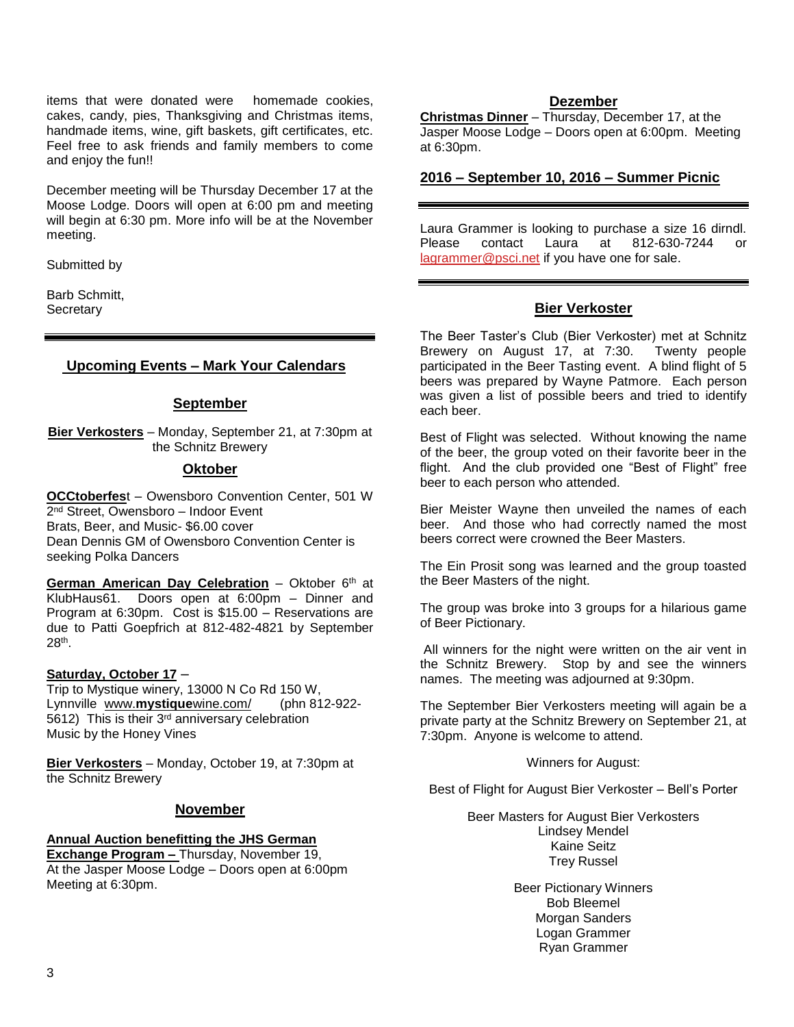items that were donated were homemade cookies, cakes, candy, pies, Thanksgiving and Christmas items, handmade items, wine, gift baskets, gift certificates, etc. Feel free to ask friends and family members to come and enjoy the fun!!

December meeting will be Thursday December 17 at the Moose Lodge. Doors will open at 6:00 pm and meeting will begin at 6:30 pm. More info will be at the November meeting.

Submitted by

Barb Schmitt, **Secretary** 

# **Upcoming Events – Mark Your Calendars**

#### **September**

**Bier Verkosters** – Monday, September 21, at 7:30pm at the Schnitz Brewery

#### **Oktober**

**OCCtoberfes**t – Owensboro Convention Center, 501 W 2<sup>nd</sup> Street, Owensboro – Indoor Event Brats, Beer, and Music- \$6.00 cover Dean Dennis GM of Owensboro Convention Center is seeking Polka Dancers

German American Day Celebration - Oktober 6<sup>th</sup> at KlubHaus61. Doors open at 6:00pm – Dinner and Program at 6:30pm. Cost is \$15.00 – Reservations are due to Patti Goepfrich at 812-482-4821 by September 28th .

#### **Saturday, October 17** –

Trip to Mystique winery, 13000 N Co Rd 150 W, Lynnville www.**mystique**[wine.com/](http://www.mystiquewine.com/) (phn 812-922- 5612) This is their 3rd anniversary celebration Music by the Honey Vines

**Bier Verkosters** – Monday, October 19, at 7:30pm at the Schnitz Brewery

#### **November**

# **Annual Auction benefitting the JHS German**

**Exchange Program –** Thursday, November 19, At the Jasper Moose Lodge – Doors open at 6:00pm Meeting at 6:30pm.

#### **Dezember**

**Christmas Dinner** – Thursday, December 17, at the Jasper Moose Lodge – Doors open at 6:00pm. Meeting at 6:30pm.

# **2016 – September 10, 2016 – Summer Picnic**

Laura Grammer is looking to purchase a size 16 dirndl. Please contact Laura at 812-630-7244 or [lagrammer@psci.net](mailto:lagrammer@psci.net) if you have one for sale.

#### **Bier Verkoster**

The Beer Taster's Club (Bier Verkoster) met at Schnitz Brewery on August 17, at 7:30. Twenty people participated in the Beer Tasting event. A blind flight of 5 beers was prepared by Wayne Patmore. Each person was given a list of possible beers and tried to identify each beer.

Best of Flight was selected. Without knowing the name of the beer, the group voted on their favorite beer in the flight. And the club provided one "Best of Flight" free beer to each person who attended.

Bier Meister Wayne then unveiled the names of each beer. And those who had correctly named the most beers correct were crowned the Beer Masters.

The Ein Prosit song was learned and the group toasted the Beer Masters of the night.

The group was broke into 3 groups for a hilarious game of Beer Pictionary.

All winners for the night were written on the air vent in the Schnitz Brewery. Stop by and see the winners names. The meeting was adjourned at 9:30pm.

The September Bier Verkosters meeting will again be a private party at the Schnitz Brewery on September 21, at 7:30pm. Anyone is welcome to attend.

Winners for August:

Best of Flight for August Bier Verkoster – Bell's Porter

Beer Masters for August Bier Verkosters Lindsey Mendel Kaine Seitz Trey Russel

> Beer Pictionary Winners Bob Bleemel Morgan Sanders Logan Grammer Ryan Grammer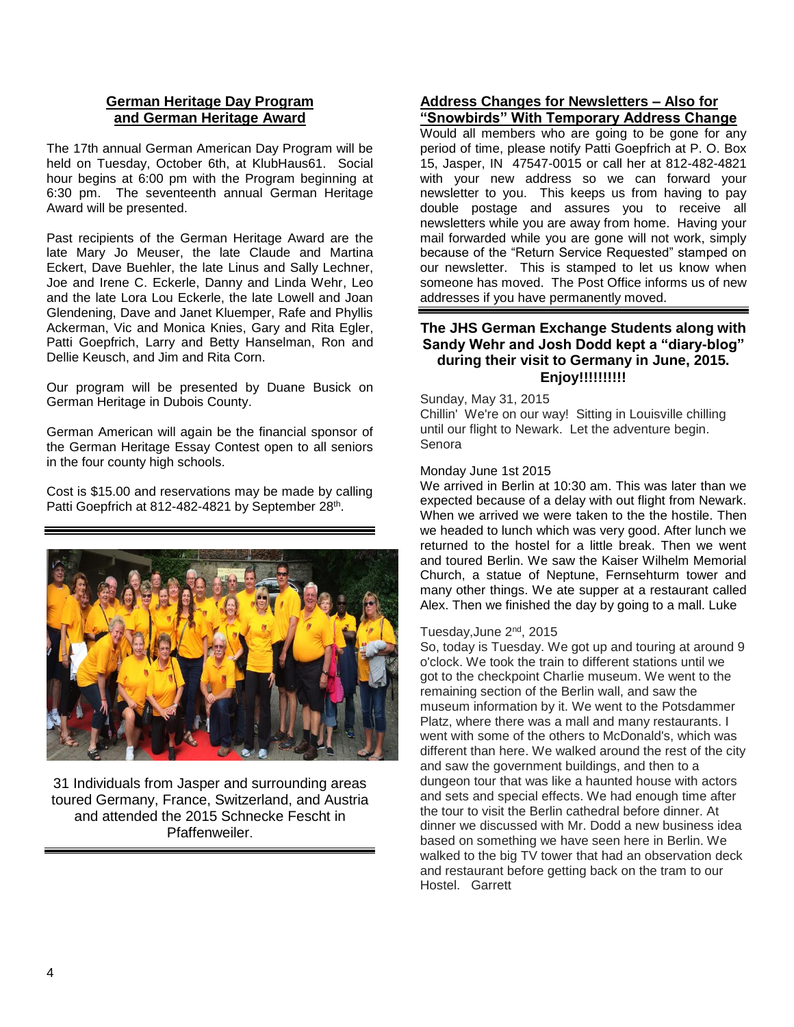# **German Heritage Day Program and German Heritage Award**

The 17th annual German American Day Program will be held on Tuesday, October 6th, at KlubHaus61. Social hour begins at 6:00 pm with the Program beginning at 6:30 pm. The seventeenth annual German Heritage Award will be presented.

Past recipients of the German Heritage Award are the late Mary Jo Meuser, the late Claude and Martina Eckert, Dave Buehler, the late Linus and Sally Lechner, Joe and Irene C. Eckerle, Danny and Linda Wehr, Leo and the late Lora Lou Eckerle, the late Lowell and Joan Glendening, Dave and Janet Kluemper, Rafe and Phyllis Ackerman, Vic and Monica Knies, Gary and Rita Egler, Patti Goepfrich, Larry and Betty Hanselman, Ron and Dellie Keusch, and Jim and Rita Corn.

Our program will be presented by Duane Busick on German Heritage in Dubois County.

German American will again be the financial sponsor of the German Heritage Essay Contest open to all seniors in the four county high schools.

Cost is \$15.00 and reservations may be made by calling Patti Goepfrich at 812-482-4821 by September 28<sup>th</sup>.



31 Individuals from Jasper and surrounding areas toured Germany, France, Switzerland, and Austria and attended the 2015 Schnecke Fescht in Pfaffenweiler.

# **Address Changes for Newsletters – Also for "Snowbirds" With Temporary Address Change**

Would all members who are going to be gone for any period of time, please notify Patti Goepfrich at P. O. Box 15, Jasper, IN 47547-0015 or call her at 812-482-4821 with your new address so we can forward your newsletter to you. This keeps us from having to pay double postage and assures you to receive all newsletters while you are away from home. Having your mail forwarded while you are gone will not work, simply because of the "Return Service Requested" stamped on our newsletter. This is stamped to let us know when someone has moved. The Post Office informs us of new addresses if you have permanently moved.

# **The JHS German Exchange Students along with Sandy Wehr and Josh Dodd kept a "diary-blog" during their visit to Germany in June, 2015. Enjoy!!!!!!!!!!**

Sunday, May 31, 2015 Chillin' We're on our way! Sitting in Louisville chilling until our flight to Newark. Let the adventure begin. Senora

#### Monday June 1st 2015

We arrived in Berlin at 10:30 am. This was later than we expected because of a delay with out flight from Newark. When we arrived we were taken to the the hostile. Then we headed to lunch which was very good. After lunch we returned to the hostel for a little break. Then we went and toured Berlin. We saw the Kaiser Wilhelm Memorial Church, a statue of Neptune, Fernsehturm tower and many other things. We ate supper at a restaurant called Alex. Then we finished the day by going to a mall. Luke

# Tuesday,June 2nd, 2015

So, today is Tuesday. We got up and touring at around 9 o'clock. We took the train to different stations until we got to the checkpoint Charlie museum. We went to the remaining section of the Berlin wall, and saw the museum information by it. We went to the Potsdammer Platz, where there was a mall and many restaurants. I went with some of the others to McDonald's, which was different than here. We walked around the rest of the city and saw the government buildings, and then to a dungeon tour that was like a haunted house with actors and sets and special effects. We had enough time after the tour to visit the Berlin cathedral before dinner. At dinner we discussed with Mr. Dodd a new business idea based on something we have seen here in Berlin. We walked to the big TV tower that had an observation deck and restaurant before getting back on the tram to our Hostel. Garrett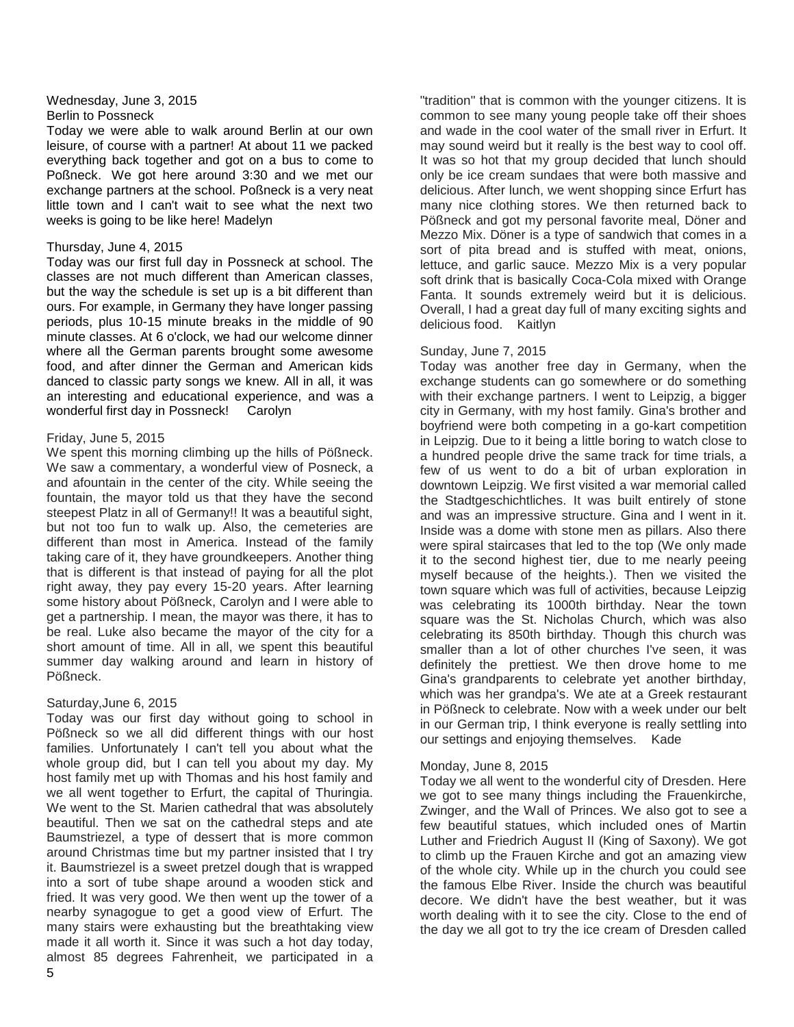#### Wednesday, June 3, 2015 [Berlin to Possneck](http://www.jhsgoestogermany.blogspot.com/2015/06/berlin-to-possneck.html)

Today we were able to walk around Berlin at our own leisure, of course with a partner! At about 11 we packed everything back together and got on a bus to come to Poßneck. We got here around 3:30 and we met our exchange partners at the school. Poßneck is a very neat little town and I can't wait to see what the next two weeks is going to be like here! Madelyn

#### Thursday, June 4, 2015

Today was our first full day in Possneck at school. The classes are not much different than American classes, but the way the schedule is set up is a bit different than ours. For example, in Germany they have longer passing periods, plus 10-15 minute breaks in the middle of 90 minute classes. At 6 o'clock, we had our welcome dinner where all the German parents brought some awesome food, and after dinner the German and American kids danced to classic party songs we knew. All in all, it was an interesting and educational experience, and was a wonderful first day in Possneck! Carolyn

#### Friday, June 5, 2015

We spent this morning climbing up the hills of Pößneck. We saw a commentary, a wonderful view of Posneck, a and afountain in the center of the city. While seeing the fountain, the mayor told us that they have the second steepest Platz in all of Germany!! It was a beautiful sight, but not too fun to walk up. Also, the cemeteries are different than most in America. Instead of the family taking care of it, they have groundkeepers. Another thing that is different is that instead of paying for all the plot right away, they pay every 15-20 years. After learning some history about Pößneck, Carolyn and I were able to get a partnership. I mean, the mayor was there, it has to be real. Luke also became the mayor of the city for a short amount of time. All in all, we spent this beautiful summer day walking around and learn in history of Pößneck.

# Saturday,June 6, 2015

Today was our first day without going to school in Pößneck so we all did different things with our host families. Unfortunately I can't tell you about what the whole group did, but I can tell you about my day. My host family met up with Thomas and his host family and we all went together to Erfurt, the capital of Thuringia. We went to the St. Marien cathedral that was absolutely beautiful. Then we sat on the cathedral steps and ate Baumstriezel, a type of dessert that is more common around Christmas time but my partner insisted that I try it. Baumstriezel is a sweet pretzel dough that is wrapped into a sort of tube shape around a wooden stick and fried. It was very good. We then went up the tower of a nearby synagogue to get a good view of Erfurt. The many stairs were exhausting but the breathtaking view made it all worth it. Since it was such a hot day today, almost 85 degrees Fahrenheit, we participated in a

"tradition" that is common with the younger citizens. It is common to see many young people take off their shoes and wade in the cool water of the small river in Erfurt. It may sound weird but it really is the best way to cool off. It was so hot that my group decided that lunch should only be ice cream sundaes that were both massive and delicious. After lunch, we went shopping since Erfurt has many nice clothing stores. We then returned back to Pößneck and got my personal favorite meal, Döner and Mezzo Mix. Döner is a type of sandwich that comes in a sort of pita bread and is stuffed with meat, onions, lettuce, and garlic sauce. Mezzo Mix is a very popular soft drink that is basically Coca-Cola mixed with Orange Fanta. It sounds extremely weird but it is delicious. Overall, I had a great day full of many exciting sights and delicious food. Kaitlyn

# Sunday, June 7, 2015

Today was another free day in Germany, when the exchange students can go somewhere or do something with their exchange partners. I went to Leipzig, a bigger city in Germany, with my host family. Gina's brother and boyfriend were both competing in a go-kart competition in Leipzig. Due to it being a little boring to watch close to a hundred people drive the same track for time trials, a few of us went to do a bit of urban exploration in downtown Leipzig. We first visited a war memorial called the Stadtgeschichtliches. It was built entirely of stone and was an impressive structure. Gina and I went in it. Inside was a dome with stone men as pillars. Also there were spiral staircases that led to the top (We only made it to the second highest tier, due to me nearly peeing myself because of the heights.). Then we visited the town square which was full of activities, because Leipzig was celebrating its 1000th birthday. Near the town square was the St. Nicholas Church, which was also celebrating its 850th birthday. Though this church was smaller than a lot of other churches I've seen, it was definitely the prettiest. We then drove home to me Gina's grandparents to celebrate yet another birthday, which was her grandpa's. We ate at a Greek restaurant in Pößneck to celebrate. Now with a week under our belt in our German trip, I think everyone is really settling into our settings and enjoying themselves. Kade

# Monday, June 8, 2015

Today we all went to the wonderful city of Dresden. Here we got to see many things including the Frauenkirche, Zwinger, and the Wall of Princes. We also got to see a few beautiful statues, which included ones of Martin Luther and Friedrich August II (King of Saxony). We got to climb up the Frauen Kirche and got an amazing view of the whole city. While up in the church you could see the famous Elbe River. Inside the church was beautiful decore. We didn't have the best weather, but it was worth dealing with it to see the city. Close to the end of the day we all got to try the ice cream of Dresden called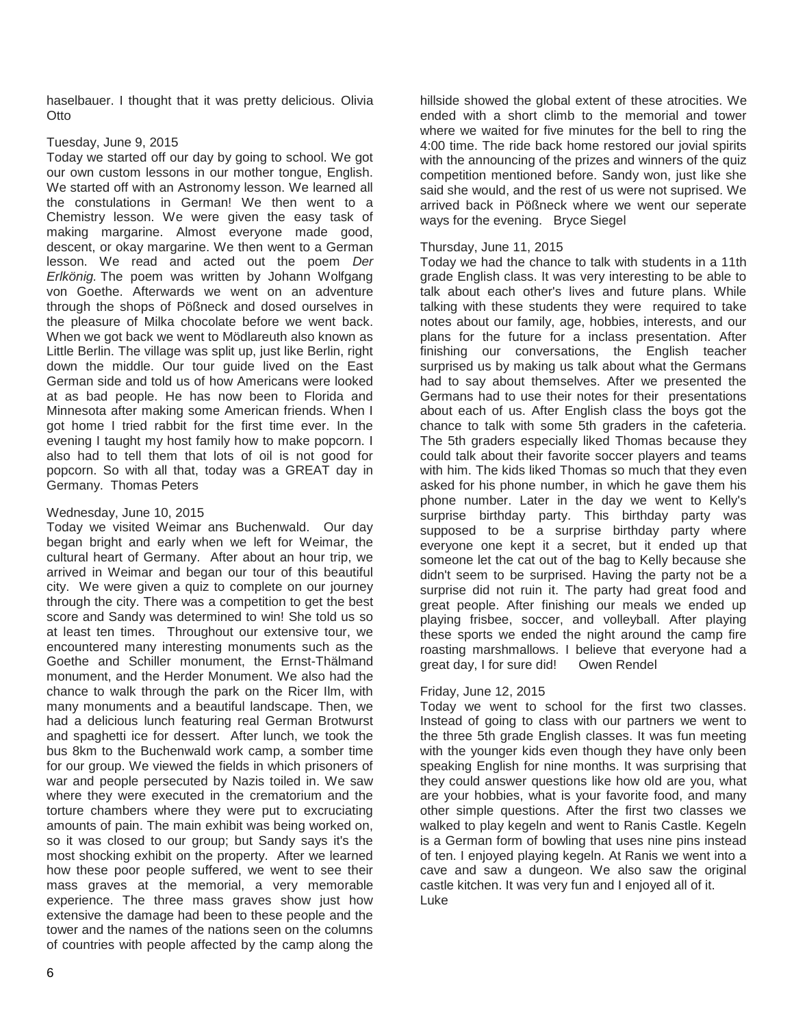haselbauer. I thought that it was pretty delicious. Olivia Otto

# Tuesday, June 9, 2015

Today we started off our day by going to school. We got our own custom lessons in our mother tongue, English. We started off with an Astronomy lesson. We learned all the constulations in German! We then went to a Chemistry lesson. We were given the easy task of making margarine. Almost everyone made good, descent, or okay margarine. We then went to a German lesson. We read and acted out the poem *Der Erlkönig.* The poem was written by Johann Wolfgang von Goethe. Afterwards we went on an adventure through the shops of Pößneck and dosed ourselves in the pleasure of Milka chocolate before we went back. When we got back we went to Mödlareuth also known as Little Berlin. The village was split up, just like Berlin, right down the middle. Our tour guide lived on the East German side and told us of how Americans were looked at as bad people. He has now been to Florida and Minnesota after making some American friends. When I got home I tried rabbit for the first time ever. In the evening I taught my host family how to make popcorn. I also had to tell them that lots of oil is not good for popcorn. So with all that, today was a GREAT day in Germany. Thomas Peters

#### Wednesday, June 10, 2015

Today we visited Weimar ans Buchenwald. Our day began bright and early when we left for Weimar, the cultural heart of Germany. After about an hour trip, we arrived in Weimar and began our tour of this beautiful city. We were given a quiz to complete on our journey through the city. There was a competition to get the best score and Sandy was determined to win! She told us so at least ten times. Throughout our extensive tour, we encountered many interesting monuments such as the Goethe and Schiller monument, the Ernst-Thälmand monument, and the Herder Monument. We also had the chance to walk through the park on the Ricer Ilm, with many monuments and a beautiful landscape. Then, we had a delicious lunch featuring real German Brotwurst and spaghetti ice for dessert. After lunch, we took the bus 8km to the Buchenwald work camp, a somber time for our group. We viewed the fields in which prisoners of war and people persecuted by Nazis toiled in. We saw where they were executed in the crematorium and the torture chambers where they were put to excruciating amounts of pain. The main exhibit was being worked on, so it was closed to our group; but Sandy says it's the most shocking exhibit on the property. After we learned how these poor people suffered, we went to see their mass graves at the memorial, a very memorable experience. The three mass graves show just how extensive the damage had been to these people and the tower and the names of the nations seen on the columns of countries with people affected by the camp along the

hillside showed the global extent of these atrocities. We ended with a short climb to the memorial and tower where we waited for five minutes for the bell to ring the 4:00 time. The ride back home restored our jovial spirits with the announcing of the prizes and winners of the quiz competition mentioned before. Sandy won, just like she said she would, and the rest of us were not suprised. We arrived back in Pößneck where we went our seperate ways for the evening. Bryce Siegel

#### Thursday, June 11, 2015

Today we had the chance to talk with students in a 11th grade English class. It was very interesting to be able to talk about each other's lives and future plans. While talking with these students they were required to take notes about our family, age, hobbies, interests, and our plans for the future for a inclass presentation. After finishing our conversations, the English teacher surprised us by making us talk about what the Germans had to say about themselves. After we presented the Germans had to use their notes for their presentations about each of us. After English class the boys got the chance to talk with some 5th graders in the cafeteria. The 5th graders especially liked Thomas because they could talk about their favorite soccer players and teams with him. The kids liked Thomas so much that they even asked for his phone number, in which he gave them his phone number. Later in the day we went to Kelly's surprise birthday party. This birthday party was supposed to be a surprise birthday party where everyone one kept it a secret, but it ended up that someone let the cat out of the bag to Kelly because she didn't seem to be surprised. Having the party not be a surprise did not ruin it. The party had great food and great people. After finishing our meals we ended up playing frisbee, soccer, and volleyball. After playing these sports we ended the night around the camp fire roasting marshmallows. I believe that everyone had a great day, I for sure did! Owen Rendel

# Friday, June 12, 2015

Today we went to school for the first two classes. Instead of going to class with our partners we went to the three 5th grade English classes. It was fun meeting with the younger kids even though they have only been speaking English for nine months. It was surprising that they could answer questions like how old are you, what are your hobbies, what is your favorite food, and many other simple questions. After the first two classes we walked to play kegeln and went to Ranis Castle. Kegeln is a German form of bowling that uses nine pins instead of ten. I enjoyed playing kegeln. At Ranis we went into a cave and saw a dungeon. We also saw the original castle kitchen. It was very fun and I enjoyed all of it. Luke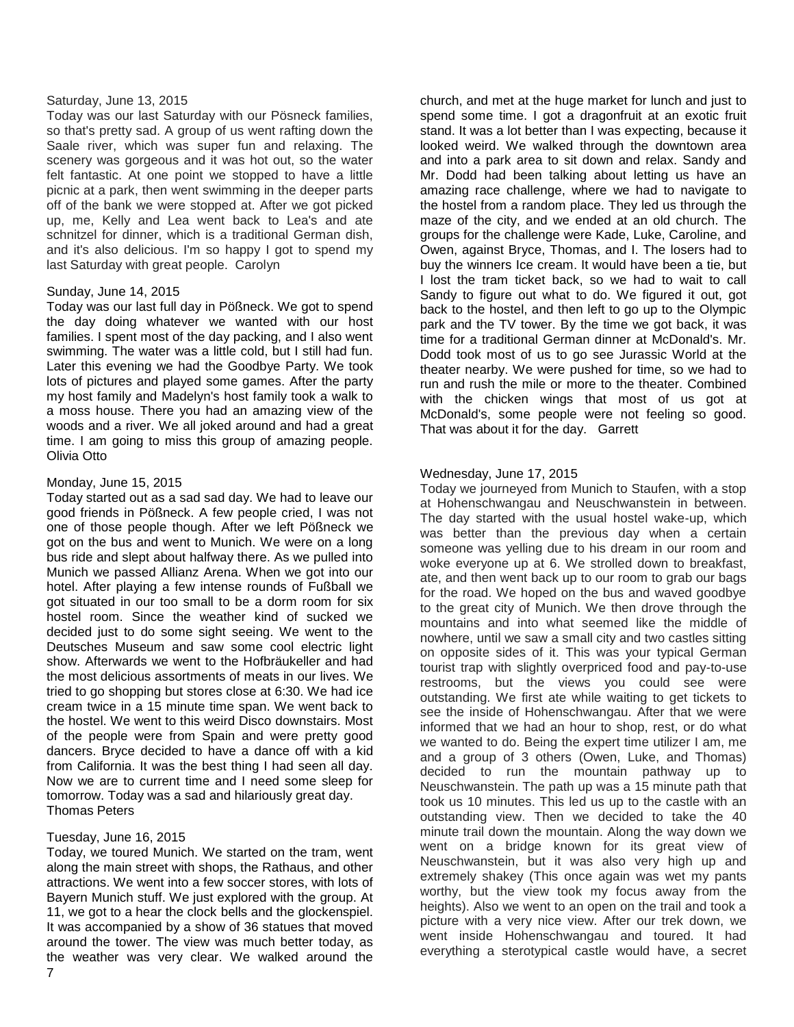#### Saturday, June 13, 2015

Today was our last Saturday with our Pösneck families, so that's pretty sad. A group of us went rafting down the Saale river, which was super fun and relaxing. The scenery was gorgeous and it was hot out, so the water felt fantastic. At one point we stopped to have a little picnic at a park, then went swimming in the deeper parts off of the bank we were stopped at. After we got picked up, me, Kelly and Lea went back to Lea's and ate schnitzel for dinner, which is a traditional German dish, and it's also delicious. I'm so happy I got to spend my last Saturday with great people. Carolyn

#### Sunday, June 14, 2015

Today was our last full day in Pößneck. We got to spend the day doing whatever we wanted with our host families. I spent most of the day packing, and I also went swimming. The water was a little cold, but I still had fun. Later this evening we had the Goodbye Party. We took lots of pictures and played some games. After the party my host family and Madelyn's host family took a walk to a moss house. There you had an amazing view of the woods and a river. We all joked around and had a great time. I am going to miss this group of amazing people. Olivia Otto

#### Monday, June 15, 2015

Today started out as a sad sad day. We had to leave our good friends in Pößneck. A few people cried, I was not one of those people though. After we left Pößneck we got on the bus and went to Munich. We were on a long bus ride and slept about halfway there. As we pulled into Munich we passed Allianz Arena. When we got into our hotel. After playing a few intense rounds of Fußball we got situated in our too small to be a dorm room for six hostel room. Since the weather kind of sucked we decided just to do some sight seeing. We went to the Deutsches Museum and saw some cool electric light show. Afterwards we went to the Hofbräukeller and had the most delicious assortments of meats in our lives. We tried to go shopping but stores close at 6:30. We had ice cream twice in a 15 minute time span. We went back to the hostel. We went to this weird Disco downstairs. Most of the people were from Spain and were pretty good dancers. Bryce decided to have a dance off with a kid from California. It was the best thing I had seen all day. Now we are to current time and I need some sleep for tomorrow. Today was a sad and hilariously great day. Thomas Peters

# Tuesday, June 16, 2015

Today, we toured Munich. We started on the tram, went along the main street with shops, the Rathaus, and other attractions. We went into a few soccer stores, with lots of Bayern Munich stuff. We just explored with the group. At 11, we got to a hear the clock bells and the glockenspiel. It was accompanied by a show of 36 statues that moved around the tower. The view was much better today, as the weather was very clear. We walked around the

church, and met at the huge market for lunch and just to spend some time. I got a dragonfruit at an exotic fruit stand. It was a lot better than I was expecting, because it looked weird. We walked through the downtown area and into a park area to sit down and relax. Sandy and Mr. Dodd had been talking about letting us have an amazing race challenge, where we had to navigate to the hostel from a random place. They led us through the maze of the city, and we ended at an old church. The groups for the challenge were Kade, Luke, Caroline, and Owen, against Bryce, Thomas, and I. The losers had to buy the winners Ice cream. It would have been a tie, but I lost the tram ticket back, so we had to wait to call Sandy to figure out what to do. We figured it out, got back to the hostel, and then left to go up to the Olympic park and the TV tower. By the time we got back, it was time for a traditional German dinner at McDonald's. Mr. Dodd took most of us to go see Jurassic World at the theater nearby. We were pushed for time, so we had to run and rush the mile or more to the theater. Combined with the chicken wings that most of us got at McDonald's, some people were not feeling so good. That was about it for the day. Garrett

# Wednesday, June 17, 2015

Today we journeyed from Munich to Staufen, with a stop at Hohenschwangau and Neuschwanstein in between. The day started with the usual hostel wake-up, which was better than the previous day when a certain someone was yelling due to his dream in our room and woke everyone up at 6. We strolled down to breakfast, ate, and then went back up to our room to grab our bags for the road. We hoped on the bus and waved goodbye to the great city of Munich. We then drove through the mountains and into what seemed like the middle of nowhere, until we saw a small city and two castles sitting on opposite sides of it. This was your typical German tourist trap with slightly overpriced food and pay-to-use restrooms, but the views you could see were outstanding. We first ate while waiting to get tickets to see the inside of Hohenschwangau. After that we were informed that we had an hour to shop, rest, or do what we wanted to do. Being the expert time utilizer I am, me and a group of 3 others (Owen, Luke, and Thomas) decided to run the mountain pathway up to Neuschwanstein. The path up was a 15 minute path that took us 10 minutes. This led us up to the castle with an outstanding view. Then we decided to take the 40 minute trail down the mountain. Along the way down we went on a bridge known for its great view of Neuschwanstein, but it was also very high up and extremely shakey (This once again was wet my pants worthy, but the view took my focus away from the heights). Also we went to an open on the trail and took a picture with a very nice view. After our trek down, we went inside Hohenschwangau and toured. It had everything a sterotypical castle would have, a secret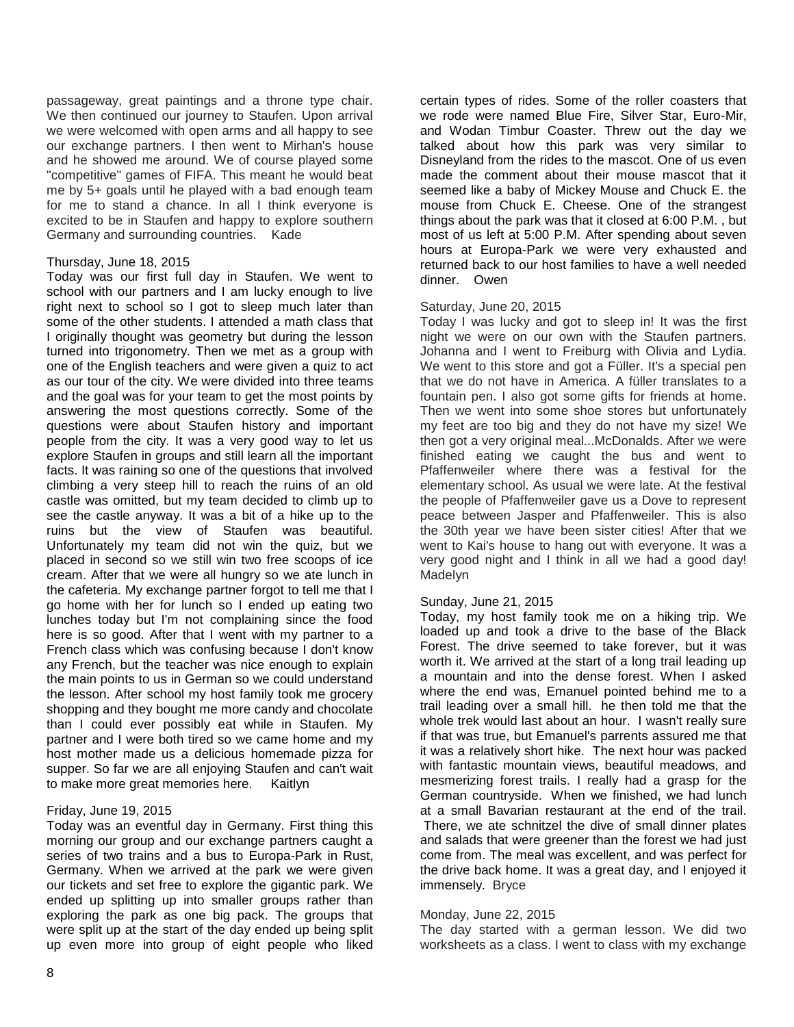passageway, great paintings and a throne type chair. We then continued our journey to Staufen. Upon arrival we were welcomed with open arms and all happy to see our exchange partners. I then went to Mirhan's house and he showed me around. We of course played some "competitive" games of FIFA. This meant he would beat me by 5+ goals until he played with a bad enough team for me to stand a chance. In all I think everyone is excited to be in Staufen and happy to explore southern Germany and surrounding countries. Kade

#### Thursday, June 18, 2015

Today was our first full day in Staufen. We went to school with our partners and I am lucky enough to live right next to school so I got to sleep much later than some of the other students. I attended a math class that I originally thought was geometry but during the lesson turned into trigonometry. Then we met as a group with one of the English teachers and were given a quiz to act as our tour of the city. We were divided into three teams and the goal was for your team to get the most points by answering the most questions correctly. Some of the questions were about Staufen history and important people from the city. It was a very good way to let us explore Staufen in groups and still learn all the important facts. It was raining so one of the questions that involved climbing a very steep hill to reach the ruins of an old castle was omitted, but my team decided to climb up to see the castle anyway. It was a bit of a hike up to the ruins but the view of Staufen was beautiful. Unfortunately my team did not win the quiz, but we placed in second so we still win two free scoops of ice cream. After that we were all hungry so we ate lunch in the cafeteria. My exchange partner forgot to tell me that I go home with her for lunch so I ended up eating two lunches today but I'm not complaining since the food here is so good. After that I went with my partner to a French class which was confusing because I don't know any French, but the teacher was nice enough to explain the main points to us in German so we could understand the lesson. After school my host family took me grocery shopping and they bought me more candy and chocolate than I could ever possibly eat while in Staufen. My partner and I were both tired so we came home and my host mother made us a delicious homemade pizza for supper. So far we are all enjoying Staufen and can't wait to make more great memories here. Kaitlyn

#### Friday, June 19, 2015

Today was an eventful day in Germany. First thing this morning our group and our exchange partners caught a series of two trains and a bus to Europa-Park in Rust, Germany. When we arrived at the park we were given our tickets and set free to explore the gigantic park. We ended up splitting up into smaller groups rather than exploring the park as one big pack. The groups that were split up at the start of the day ended up being split up even more into group of eight people who liked

certain types of rides. Some of the roller coasters that we rode were named Blue Fire, Silver Star, Euro-Mir, and Wodan Timbur Coaster. Threw out the day we talked about how this park was very similar to Disneyland from the rides to the mascot. One of us even made the comment about their mouse mascot that it seemed like a baby of Mickey Mouse and Chuck E. the mouse from Chuck E. Cheese. One of the strangest things about the park was that it closed at 6:00 P.M. , but most of us left at 5:00 P.M. After spending about seven hours at Europa-Park we were very exhausted and returned back to our host families to have a well needed dinner. Owen

#### Saturday, June 20, 2015

Today I was lucky and got to sleep in! It was the first night we were on our own with the Staufen partners. Johanna and I went to Freiburg with Olivia and Lydia. We went to this store and got a Füller. It's a special pen that we do not have in America. A füller translates to a fountain pen. I also got some gifts for friends at home. Then we went into some shoe stores but unfortunately my feet are too big and they do not have my size! We then got a very original meal...McDonalds. After we were finished eating we caught the bus and went to Pfaffenweiler where there was a festival for the elementary school. As usual we were late. At the festival the people of Pfaffenweiler gave us a Dove to represent peace between Jasper and Pfaffenweiler. This is also the 30th year we have been sister cities! After that we went to Kai's house to hang out with everyone. It was a very good night and I think in all we had a good day! Madelyn

#### Sunday, [June 21,](http://www.jhsgoestogermany.blogspot.com/2015/07/june-21.html) 2015

Today, my host family took me on a hiking trip. We loaded up and took a drive to the base of the Black Forest. The drive seemed to take forever, but it was worth it. We arrived at the start of a long trail leading up a mountain and into the dense forest. When I asked where the end was, Emanuel pointed behind me to a trail leading over a small hill. he then told me that the whole trek would last about an hour. I wasn't really sure if that was true, but Emanuel's parrents assured me that it was a relatively short hike. The next hour was packed with fantastic mountain views, beautiful meadows, and mesmerizing forest trails. I really had a grasp for the German countryside. When we finished, we had lunch at a small Bavarian restaurant at the end of the trail. There, we ate schnitzel the dive of small dinner plates and salads that were greener than the forest we had just come from. The meal was excellent, and was perfect for the drive back home. It was a great day, and I enjoyed it immensely. Bryce

#### Monday, June 22, 2015

The day started with a german lesson. We did two worksheets as a class. I went to class with my exchange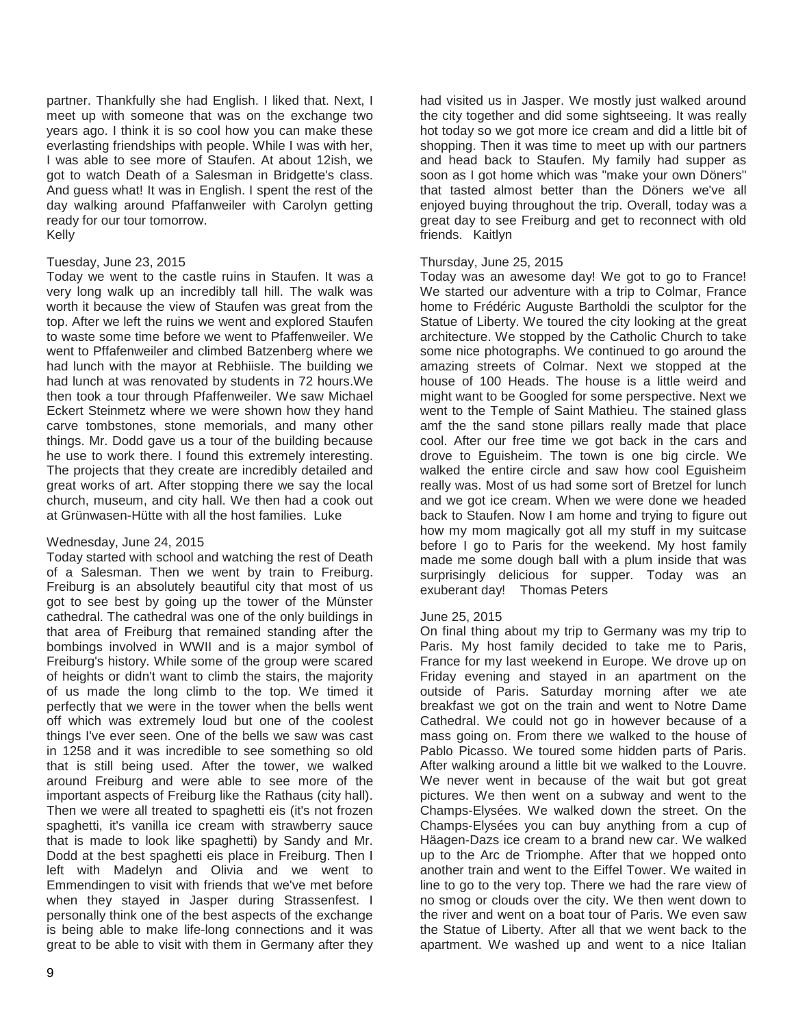partner. Thankfully she had English. I liked that. Next, I meet up with someone that was on the exchange two years ago. I think it is so cool how you can make these everlasting friendships with people. While I was with her, I was able to see more of Staufen. At about 12ish, we got to watch Death of a Salesman in Bridgette's class. And guess what! It was in English. I spent the rest of the day walking around Pfaffanweiler with Carolyn getting ready for our tour tomorrow. Kelly

#### Tuesday, June 23, 2015

Today we went to the castle ruins in Staufen. It was a very long walk up an incredibly tall hill. The walk was worth it because the view of Staufen was great from the top. After we left the ruins we went and explored Staufen to waste some time before we went to Pfaffenweiler. We went to Pffafenweiler and climbed Batzenberg where we had lunch with the mayor at Rebhiisle. The building we had lunch at was renovated by students in 72 hours.We then took a tour through Pfaffenweiler. We saw Michael Eckert Steinmetz where we were shown how they hand carve tombstones, stone memorials, and many other things. Mr. Dodd gave us a tour of the building because he use to work there. I found this extremely interesting. The projects that they create are incredibly detailed and great works of art. After stopping there we say the local church, museum, and city hall. We then had a cook out at Grünwasen-Hütte with all the host families. Luke

#### Wednesday, June 24, 2015

Today started with school and watching the rest of Death of a Salesman. Then we went by train to Freiburg. Freiburg is an absolutely beautiful city that most of us got to see best by going up the tower of the Münster cathedral. The cathedral was one of the only buildings in that area of Freiburg that remained standing after the bombings involved in WWII and is a major symbol of Freiburg's history. While some of the group were scared of heights or didn't want to climb the stairs, the majority of us made the long climb to the top. We timed it perfectly that we were in the tower when the bells went off which was extremely loud but one of the coolest things I've ever seen. One of the bells we saw was cast in 1258 and it was incredible to see something so old that is still being used. After the tower, we walked around Freiburg and were able to see more of the important aspects of Freiburg like the Rathaus (city hall). Then we were all treated to spaghetti eis (it's not frozen spaghetti, it's vanilla ice cream with strawberry sauce that is made to look like spaghetti) by Sandy and Mr. Dodd at the best spaghetti eis place in Freiburg. Then I left with Madelyn and Olivia and we went to Emmendingen to visit with friends that we've met before when they stayed in Jasper during Strassenfest. I personally think one of the best aspects of the exchange is being able to make life-long connections and it was great to be able to visit with them in Germany after they

had visited us in Jasper. We mostly just walked around the city together and did some sightseeing. It was really hot today so we got more ice cream and did a little bit of shopping. Then it was time to meet up with our partners and head back to Staufen. My family had supper as soon as I got home which was "make your own Döners" that tasted almost better than the Döners we've all enjoyed buying throughout the trip. Overall, today was a great day to see Freiburg and get to reconnect with old friends. Kaitlyn

#### Thursday, June 25, 2015

Today was an awesome day! We got to go to France! We started our adventure with a trip to Colmar, France home to Frédéric Auguste Bartholdi the sculptor for the Statue of Liberty. We toured the city looking at the great architecture. We stopped by the Catholic Church to take some nice photographs. We continued to go around the amazing streets of Colmar. Next we stopped at the house of 100 Heads. The house is a little weird and might want to be Googled for some perspective. Next we went to the Temple of Saint Mathieu. The stained glass amf the the sand stone pillars really made that place cool. After our free time we got back in the cars and drove to Eguisheim. The town is one big circle. We walked the entire circle and saw how cool Eguisheim really was. Most of us had some sort of Bretzel for lunch and we got ice cream. When we were done we headed back to Staufen. Now I am home and trying to figure out how my mom magically got all my stuff in my suitcase before I go to Paris for the weekend. My host family made me some dough ball with a plum inside that was surprisingly delicious for supper. Today was an exuberant day! Thomas Peters

#### June 25, 2015

On final thing about my trip to Germany was my trip to Paris. My host family decided to take me to Paris, France for my last weekend in Europe. We drove up on Friday evening and stayed in an apartment on the outside of Paris. Saturday morning after we ate breakfast we got on the train and went to Notre Dame Cathedral. We could not go in however because of a mass going on. From there we walked to the house of Pablo Picasso. We toured some hidden parts of Paris. After walking around a little bit we walked to the Louvre. We never went in because of the wait but got great pictures. We then went on a subway and went to the Champs-Elysées. We walked down the street. On the Champs-Elysées you can buy anything from a cup of Häagen-Dazs ice cream to a brand new car. We walked up to the Arc de Triomphe. After that we hopped onto another train and went to the Eiffel Tower. We waited in line to go to the very top. There we had the rare view of no smog or clouds over the city. We then went down to the river and went on a boat tour of Paris. We even saw the Statue of Liberty. After all that we went back to the apartment. We washed up and went to a nice Italian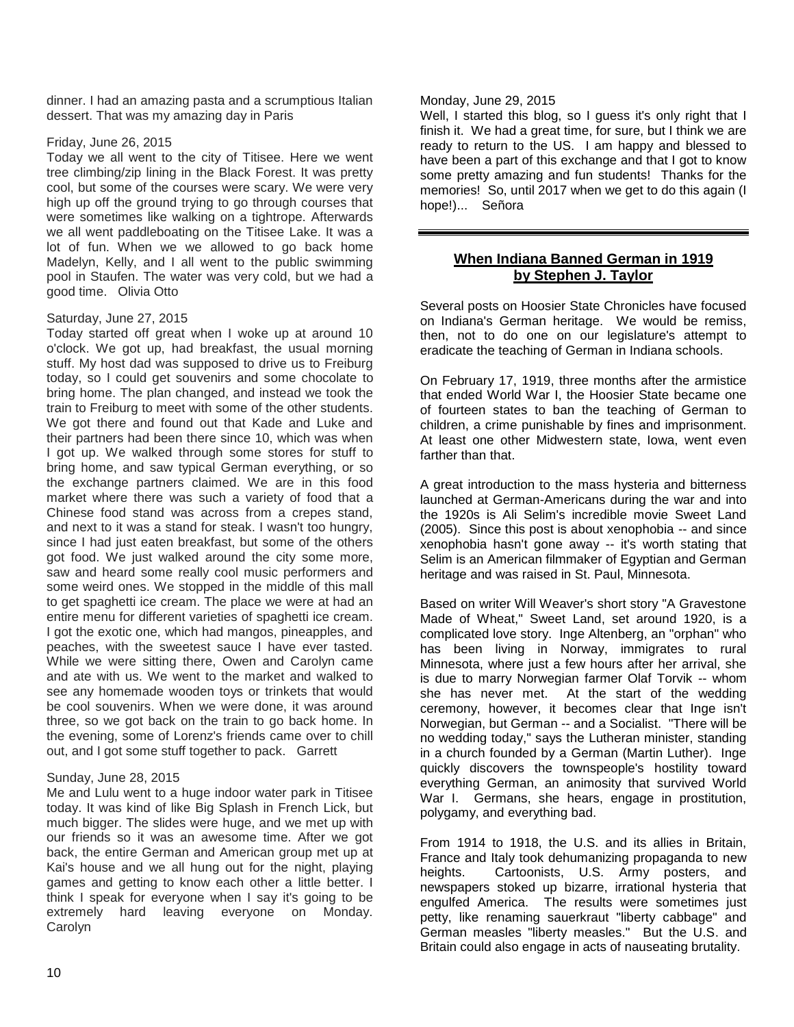dinner. I had an amazing pasta and a scrumptious Italian dessert. That was my amazing day in Paris

#### Friday, June 26, 2015

Today we all went to the city of Titisee. Here we went tree climbing/zip lining in the Black Forest. It was pretty cool, but some of the courses were scary. We were very high up off the ground trying to go through courses that were sometimes like walking on a tightrope. Afterwards we all went paddleboating on the Titisee Lake. It was a lot of fun. When we we allowed to go back home Madelyn, Kelly, and I all went to the public swimming pool in Staufen. The water was very cold, but we had a good time. Olivia Otto

# Saturday, June 27, 2015

Today started off great when I woke up at around 10 o'clock. We got up, had breakfast, the usual morning stuff. My host dad was supposed to drive us to Freiburg today, so I could get souvenirs and some chocolate to bring home. The plan changed, and instead we took the train to Freiburg to meet with some of the other students. We got there and found out that Kade and Luke and their partners had been there since 10, which was when I got up. We walked through some stores for stuff to bring home, and saw typical German everything, or so the exchange partners claimed. We are in this food market where there was such a variety of food that a Chinese food stand was across from a crepes stand, and next to it was a stand for steak. I wasn't too hungry, since I had just eaten breakfast, but some of the others got food. We just walked around the city some more, saw and heard some really cool music performers and some weird ones. We stopped in the middle of this mall to get spaghetti ice cream. The place we were at had an entire menu for different varieties of spaghetti ice cream. I got the exotic one, which had mangos, pineapples, and peaches, with the sweetest sauce I have ever tasted. While we were sitting there, Owen and Carolyn came and ate with us. We went to the market and walked to see any homemade wooden toys or trinkets that would be cool souvenirs. When we were done, it was around three, so we got back on the train to go back home. In the evening, some of Lorenz's friends came over to chill out, and I got some stuff together to pack. Garrett

# Sunday, June 28, 2015

Me and Lulu went to a huge indoor water park in Titisee today. It was kind of like Big Splash in French Lick, but much bigger. The slides were huge, and we met up with our friends so it was an awesome time. After we got back, the entire German and American group met up at Kai's house and we all hung out for the night, playing games and getting to know each other a little better. I think I speak for everyone when I say it's going to be extremely hard leaving everyone on Monday. Carolyn

#### Monday, June 29, 2015

Well, I started this blog, so I guess it's only right that I finish it. We had a great time, for sure, but I think we are ready to return to the US. I am happy and blessed to have been a part of this exchange and that I got to know some pretty amazing and fun students! Thanks for the memories! So, until 2017 when we get to do this again (I hope!)... Señora

# **When Indiana Banned German in 1919 by Stephen J. Taylor**

Several posts on Hoosier State Chronicles have focused on Indiana's German heritage. We would be remiss, then, not to do one on our legislature's attempt to eradicate the teaching of German in Indiana schools.

On February 17, 1919, three months after the armistice that ended World War I, the Hoosier State became one of fourteen states to ban the teaching of German to children, a crime punishable by fines and imprisonment. At least one other Midwestern state, Iowa, went even farther than that.

A great introduction to the mass hysteria and bitterness launched at German-Americans during the war and into the 1920s is Ali Selim's incredible movie Sweet Land (2005). Since this post is about xenophobia -- and since xenophobia hasn't gone away -- it's worth stating that Selim is an American filmmaker of Egyptian and German heritage and was raised in St. Paul, Minnesota.

Based on writer Will Weaver's short story "A Gravestone Made of Wheat," Sweet Land, set around 1920, is a complicated love story. Inge Altenberg, an "orphan" who has been living in Norway, immigrates to rural Minnesota, where just a few hours after her arrival, she is due to marry Norwegian farmer Olaf Torvik -- whom she has never met. At the start of the wedding ceremony, however, it becomes clear that Inge isn't Norwegian, but German -- and a Socialist. "There will be no wedding today," says the Lutheran minister, standing in a church founded by a German (Martin Luther). Inge quickly discovers the townspeople's hostility toward everything German, an animosity that survived World War I. Germans, she hears, engage in prostitution, polygamy, and everything bad.

From 1914 to 1918, the U.S. and its allies in Britain, France and Italy took dehumanizing propaganda to new heights. Cartoonists, U.S. Army posters, and newspapers stoked up bizarre, irrational hysteria that engulfed America. The results were sometimes just petty, like renaming sauerkraut "liberty cabbage" and German measles "liberty measles." But the U.S. and Britain could also engage in acts of nauseating brutality.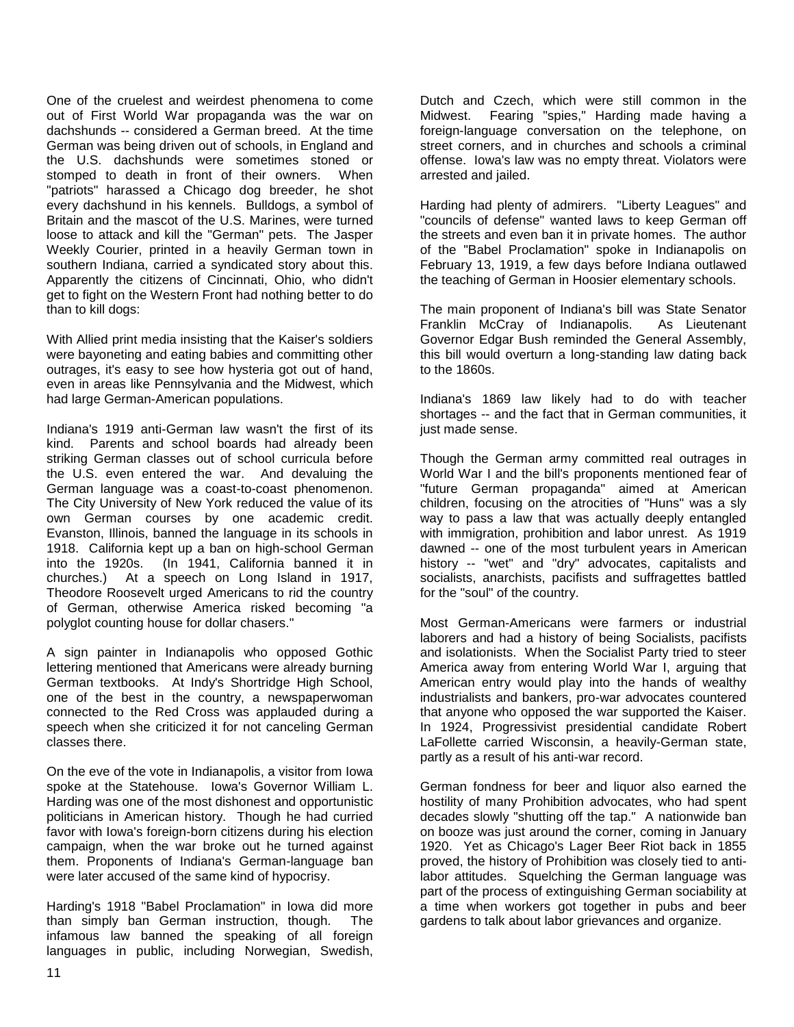One of the cruelest and weirdest phenomena to come out of First World War propaganda was the war on dachshunds -- considered a German breed. At the time German was being driven out of schools, in England and the U.S. dachshunds were sometimes stoned or stomped to death in front of their owners. When "patriots" harassed a Chicago dog breeder, he shot every dachshund in his kennels. Bulldogs, a symbol of Britain and the mascot of the U.S. Marines, were turned loose to attack and kill the "German" pets. The Jasper Weekly Courier, printed in a heavily German town in southern Indiana, carried a syndicated story about this. Apparently the citizens of Cincinnati, Ohio, who didn't get to fight on the Western Front had nothing better to do than to kill dogs:

With Allied print media insisting that the Kaiser's soldiers were bayoneting and eating babies and committing other outrages, it's easy to see how hysteria got out of hand, even in areas like Pennsylvania and the Midwest, which had large German-American populations.

Indiana's 1919 anti-German law wasn't the first of its kind. Parents and school boards had already been striking German classes out of school curricula before the U.S. even entered the war. And devaluing the German language was a coast-to-coast phenomenon. The City University of New York reduced the value of its own German courses by one academic credit. Evanston, Illinois, banned the language in its schools in 1918. California kept up a ban on high-school German into the 1920s. (In 1941, California banned it in churches.) At a speech on Long Island in 1917, Theodore Roosevelt urged Americans to rid the country of German, otherwise America risked becoming "a polyglot counting house for dollar chasers."

A sign painter in Indianapolis who opposed Gothic lettering mentioned that Americans were already burning German textbooks. At Indy's Shortridge High School, one of the best in the country, a newspaperwoman connected to the Red Cross was applauded during a speech when she criticized it for not canceling German classes there.

On the eve of the vote in Indianapolis, a visitor from Iowa spoke at the Statehouse. Iowa's Governor William L. Harding was one of the most dishonest and opportunistic politicians in American history. Though he had curried favor with Iowa's foreign-born citizens during his election campaign, when the war broke out he turned against them. Proponents of Indiana's German-language ban were later accused of the same kind of hypocrisy.

Harding's 1918 "Babel Proclamation" in Iowa did more than simply ban German instruction, though. The infamous law banned the speaking of all foreign languages in public, including Norwegian, Swedish,

Dutch and Czech, which were still common in the Midwest. Fearing "spies," Harding made having a foreign-language conversation on the telephone, on street corners, and in churches and schools a criminal offense. Iowa's law was no empty threat. Violators were arrested and jailed.

Harding had plenty of admirers. "Liberty Leagues" and "councils of defense" wanted laws to keep German off the streets and even ban it in private homes. The author of the "Babel Proclamation" spoke in Indianapolis on February 13, 1919, a few days before Indiana outlawed the teaching of German in Hoosier elementary schools.

The main proponent of Indiana's bill was State Senator Franklin McCray of Indianapolis. As Lieutenant Governor Edgar Bush reminded the General Assembly, this bill would overturn a long-standing law dating back to the 1860s.

Indiana's 1869 law likely had to do with teacher shortages -- and the fact that in German communities, it just made sense.

Though the German army committed real outrages in World War I and the bill's proponents mentioned fear of "future German propaganda" aimed at American children, focusing on the atrocities of "Huns" was a sly way to pass a law that was actually deeply entangled with immigration, prohibition and labor unrest. As 1919 dawned -- one of the most turbulent years in American history -- "wet" and "dry" advocates, capitalists and socialists, anarchists, pacifists and suffragettes battled for the "soul" of the country.

Most German-Americans were farmers or industrial laborers and had a history of being Socialists, pacifists and isolationists. When the Socialist Party tried to steer America away from entering World War I, arguing that American entry would play into the hands of wealthy industrialists and bankers, pro-war advocates countered that anyone who opposed the war supported the Kaiser. In 1924, Progressivist presidential candidate Robert LaFollette carried Wisconsin, a heavily-German state, partly as a result of his anti-war record.

German fondness for beer and liquor also earned the hostility of many Prohibition advocates, who had spent decades slowly "shutting off the tap." A nationwide ban on booze was just around the corner, coming in January 1920. Yet as Chicago's Lager Beer Riot back in 1855 proved, the history of Prohibition was closely tied to antilabor attitudes. Squelching the German language was part of the process of extinguishing German sociability at a time when workers got together in pubs and beer gardens to talk about labor grievances and organize.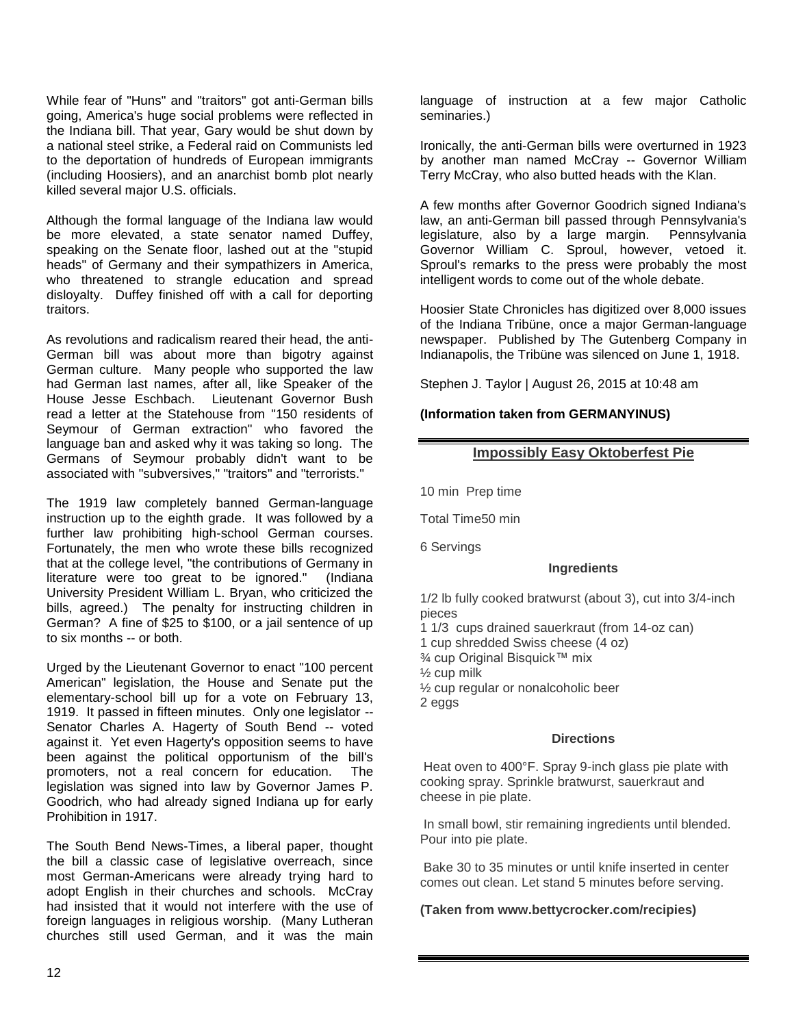While fear of "Huns" and "traitors" got anti-German bills going, America's huge social problems were reflected in the Indiana bill. That year, Gary would be shut down by a national steel strike, a Federal raid on Communists led to the deportation of hundreds of European immigrants (including Hoosiers), and an anarchist bomb plot nearly killed several major U.S. officials.

Although the formal language of the Indiana law would be more elevated, a state senator named Duffey, speaking on the Senate floor, lashed out at the "stupid heads" of Germany and their sympathizers in America, who threatened to strangle education and spread disloyalty. Duffey finished off with a call for deporting traitors.

As revolutions and radicalism reared their head, the anti-German bill was about more than bigotry against German culture. Many people who supported the law had German last names, after all, like Speaker of the House Jesse Eschbach. Lieutenant Governor Bush read a letter at the Statehouse from "150 residents of Seymour of German extraction" who favored the language ban and asked why it was taking so long. The Germans of Seymour probably didn't want to be associated with "subversives," "traitors" and "terrorists."

The 1919 law completely banned German-language instruction up to the eighth grade. It was followed by a further law prohibiting high-school German courses. Fortunately, the men who wrote these bills recognized that at the college level, "the contributions of Germany in literature were too great to be ignored." (Indiana University President William L. Bryan, who criticized the bills, agreed.) The penalty for instructing children in German? A fine of \$25 to \$100, or a jail sentence of up to six months -- or both.

Urged by the Lieutenant Governor to enact "100 percent American" legislation, the House and Senate put the elementary-school bill up for a vote on February 13, 1919. It passed in fifteen minutes. Only one legislator -- Senator Charles A. Hagerty of South Bend -- voted against it. Yet even Hagerty's opposition seems to have been against the political opportunism of the bill's promoters, not a real concern for education. The legislation was signed into law by Governor James P. Goodrich, who had already signed Indiana up for early Prohibition in 1917.

The South Bend News-Times, a liberal paper, thought the bill a classic case of legislative overreach, since most German-Americans were already trying hard to adopt English in their churches and schools. McCray had insisted that it would not interfere with the use of foreign languages in religious worship. (Many Lutheran churches still used German, and it was the main

language of instruction at a few major Catholic seminaries.)

Ironically, the anti-German bills were overturned in 1923 by another man named McCray -- Governor William Terry McCray, who also butted heads with the Klan.

A few months after Governor Goodrich signed Indiana's law, an anti-German bill passed through Pennsylvania's legislature, also by a large margin. Pennsylvania Governor William C. Sproul, however, vetoed it. Sproul's remarks to the press were probably the most intelligent words to come out of the whole debate.

Hoosier State Chronicles has digitized over 8,000 issues of the Indiana Tribüne, once a major German-language newspaper. Published by The Gutenberg Company in Indianapolis, the Tribüne was silenced on June 1, 1918.

Stephen J. Taylor | August 26, 2015 at 10:48 am

# **(Information taken from GERMANYINUS)**

# **Impossibly Easy Oktoberfest Pie**

10 min Prep time

Total Time50 min

6 Servings

# **Ingredients**

1/2 lb fully cooked bratwurst (about 3), cut into 3/4-inch pieces

1 1/3 cups drained sauerkraut (from 14-oz can)

1 cup shredded Swiss cheese (4 oz)

- ¾ cup Original Bisquick™ mix
- ½ cup milk
- ½ cup regular or nonalcoholic beer
- 2 eggs

# **Directions**

Heat oven to 400°F. Spray 9-inch glass pie plate with cooking spray. Sprinkle bratwurst, sauerkraut and cheese in pie plate.

In small bowl, stir remaining ingredients until blended. Pour into pie plate.

Bake 30 to 35 minutes or until knife inserted in center comes out clean. Let stand 5 minutes before serving.

# **(Taken from www.bettycrocker.com/recipies)**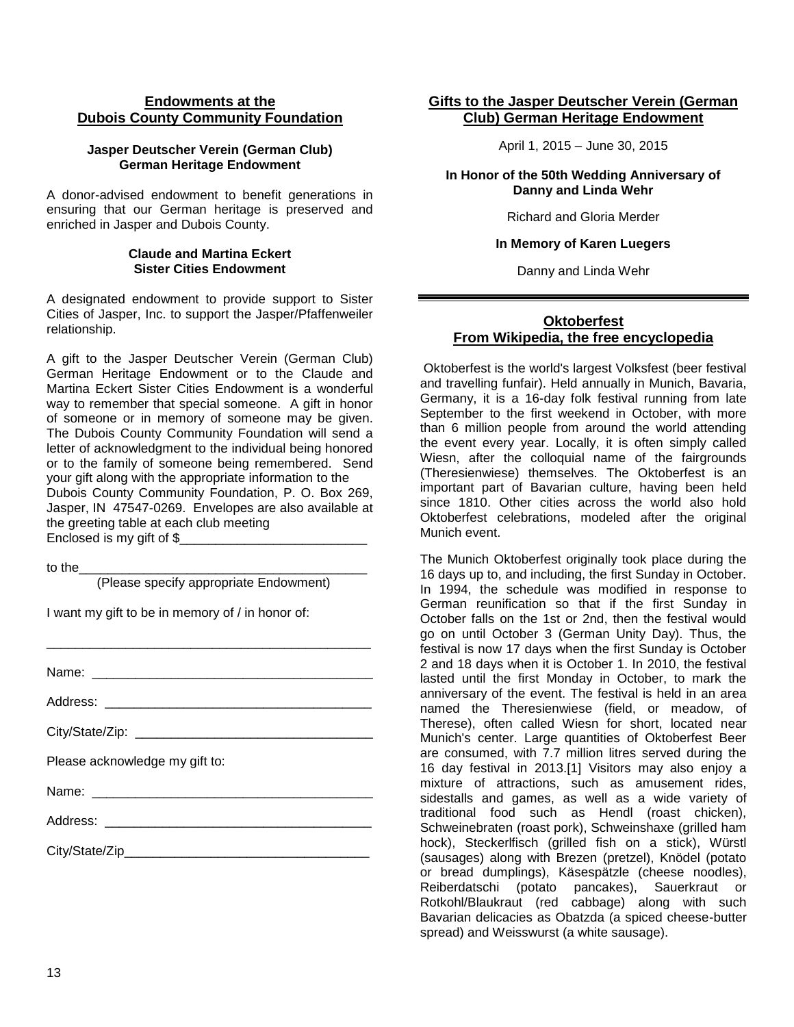# **Endowments at the Dubois County Community Foundation**

#### **Jasper Deutscher Verein (German Club) German Heritage Endowment**

A donor-advised endowment to benefit generations in ensuring that our German heritage is preserved and enriched in Jasper and Dubois County.

#### **Claude and Martina Eckert Sister Cities Endowment**

A designated endowment to provide support to Sister Cities of Jasper, Inc. to support the Jasper/Pfaffenweiler relationship.

A gift to the Jasper Deutscher Verein (German Club) German Heritage Endowment or to the Claude and Martina Eckert Sister Cities Endowment is a wonderful way to remember that special someone. A gift in honor of someone or in memory of someone may be given. The Dubois County Community Foundation will send a letter of acknowledgment to the individual being honored or to the family of someone being remembered. Send your gift along with the appropriate information to the Dubois County Community Foundation, P. O. Box 269, Jasper, IN 47547-0269. Envelopes are also available at the greeting table at each club meeting Enclosed is my gift of \$

to the

(Please specify appropriate Endowment)

I want my gift to be in memory of / in honor of:

| Please acknowledge my gift to: |
|--------------------------------|
|                                |
|                                |
|                                |

# **Gifts to the Jasper Deutscher Verein (German Club) German Heritage Endowment**

April 1, 2015 – June 30, 2015

#### **In Honor of the 50th Wedding Anniversary of Danny and Linda Wehr**

Richard and Gloria Merder

#### **In Memory of Karen Luegers**

Danny and Linda Wehr

# **Oktoberfest From Wikipedia, the free encyclopedia**

Oktoberfest is the world's largest Volksfest (beer festival and travelling funfair). Held annually in Munich, Bavaria, Germany, it is a 16-day folk festival running from late September to the first weekend in October, with more than 6 million people from around the world attending the event every year. Locally, it is often simply called Wiesn, after the colloquial name of the fairgrounds (Theresienwiese) themselves. The Oktoberfest is an important part of Bavarian culture, having been held since 1810. Other cities across the world also hold Oktoberfest celebrations, modeled after the original Munich event.

The Munich Oktoberfest originally took place during the 16 days up to, and including, the first Sunday in October. In 1994, the schedule was modified in response to German reunification so that if the first Sunday in October falls on the 1st or 2nd, then the festival would go on until October 3 (German Unity Day). Thus, the festival is now 17 days when the first Sunday is October 2 and 18 days when it is October 1. In 2010, the festival lasted until the first Monday in October, to mark the anniversary of the event. The festival is held in an area named the Theresienwiese (field, or meadow, of Therese), often called Wiesn for short, located near Munich's center. Large quantities of Oktoberfest Beer are consumed, with 7.7 million litres served during the 16 day festival in 2013.[1] Visitors may also enjoy a mixture of attractions, such as amusement rides, sidestalls and games, as well as a wide variety of traditional food such as Hendl (roast chicken), Schweinebraten (roast pork), Schweinshaxe (grilled ham hock), Steckerlfisch (grilled fish on a stick), Würstl (sausages) along with Brezen (pretzel), Knödel (potato or bread dumplings), Käsespätzle (cheese noodles), Reiberdatschi (potato pancakes), Sauerkraut or Rotkohl/Blaukraut (red cabbage) along with such Bavarian delicacies as Obatzda (a spiced cheese-butter spread) and Weisswurst (a white sausage).